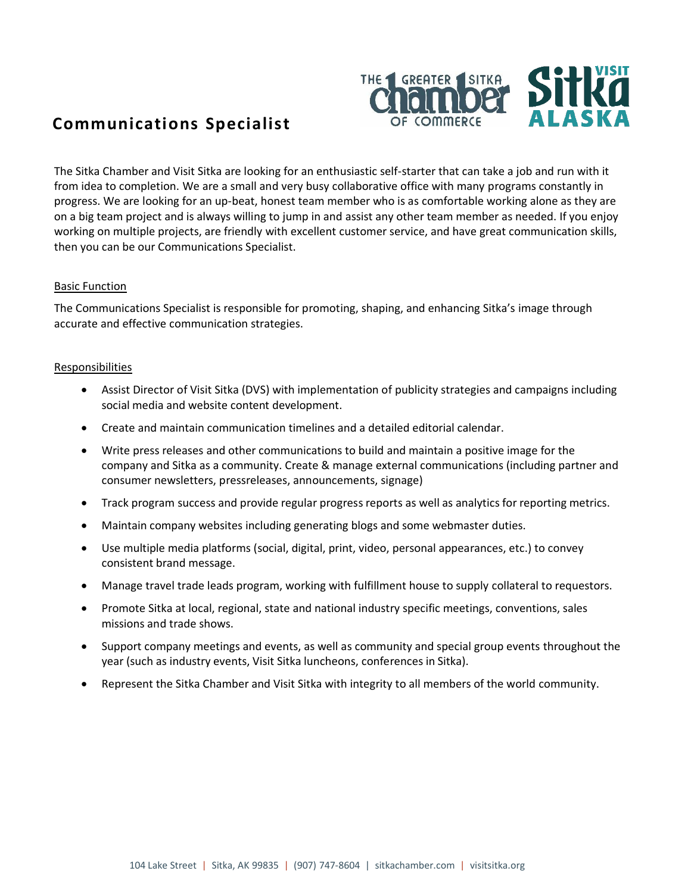

# **Communications Specialist**

The Sitka Chamber and Visit Sitka are looking for an enthusiastic self-starter that can take a job and run with it from idea to completion. We are a small and very busy collaborative office with many programs constantly in progress. We are looking for an up-beat, honest team member who is as comfortable working alone as they are on a big team project and is always willing to jump in and assist any other team member as needed. If you enjoy working on multiple projects, are friendly with excellent customer service, and have great communication skills, then you can be our Communications Specialist.

## Basic Function

The Communications Specialist is responsible for promoting, shaping, and enhancing Sitka's image through accurate and effective communication strategies.

## Responsibilities

- Assist Director of Visit Sitka (DVS) with implementation of publicity strategies and campaigns including social media and website content development.
- Create and maintain communication timelines and a detailed editorial calendar.
- Write press releases and other communications to build and maintain a positive image for the company and Sitka as a community. Create & manage external communications (including partner and consumer newsletters, pressreleases, announcements, signage)
- Track program success and provide regular progress reports as well as analytics for reporting metrics.
- Maintain company websites including generating blogs and some webmaster duties.
- Use multiple media platforms (social, digital, print, video, personal appearances, etc.) to convey consistent brand message.
- Manage travel trade leads program, working with fulfillment house to supply collateral to requestors.
- Promote Sitka at local, regional, state and national industry specific meetings, conventions, sales missions and trade shows.
- Support company meetings and events, as well as community and special group events throughout the year (such as industry events, Visit Sitka luncheons, conferences in Sitka).
- Represent the Sitka Chamber and Visit Sitka with integrity to all members of the world community.